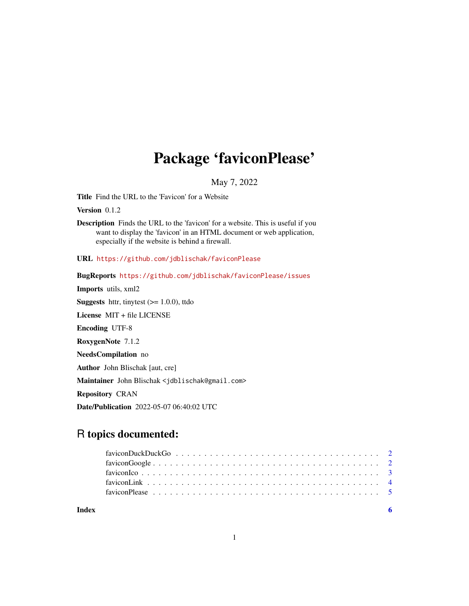## Package 'faviconPlease'

May 7, 2022

<span id="page-0-0"></span>Title Find the URL to the 'Favicon' for a Website

Version 0.1.2

Description Finds the URL to the 'favicon' for a website. This is useful if you want to display the 'favicon' in an HTML document or web application, especially if the website is behind a firewall.

URL <https://github.com/jdblischak/faviconPlease>

BugReports <https://github.com/jdblischak/faviconPlease/issues>

Imports utils, xml2 **Suggests** httr, tinytest  $(>= 1.0.0)$ , ttdo

License MIT + file LICENSE

Encoding UTF-8

RoxygenNote 7.1.2

NeedsCompilation no

Author John Blischak [aut, cre]

Maintainer John Blischak <jdblischak@gmail.com>

Repository CRAN

Date/Publication 2022-05-07 06:40:02 UTC

### R topics documented:

| Index |  |
|-------|--|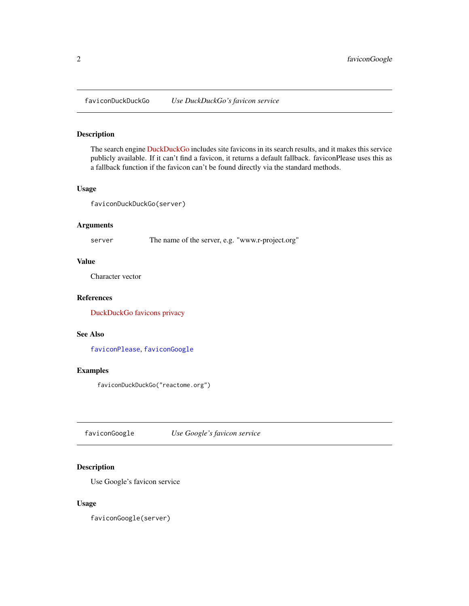<span id="page-1-2"></span><span id="page-1-0"></span>faviconDuckDuckGo *Use DuckDuckGo's favicon service*

#### Description

The search engine [DuckDuckGo](https://duckduckgo.com/) includes site favicons in its search results, and it makes this service publicly available. If it can't find a favicon, it returns a default fallback. faviconPlease uses this as a fallback function if the favicon can't be found directly via the standard methods.

#### Usage

faviconDuckDuckGo(server)

#### Arguments

server The name of the server, e.g. "www.r-project.org"

#### Value

Character vector

#### References

[DuckDuckGo favicons privacy](https://help.duckduckgo.com/privacy/favicons/)

#### See Also

[faviconPlease](#page-4-1), [faviconGoogle](#page-1-1)

#### Examples

faviconDuckDuckGo("reactome.org")

<span id="page-1-1"></span>faviconGoogle *Use Google's favicon service*

#### Description

Use Google's favicon service

#### Usage

faviconGoogle(server)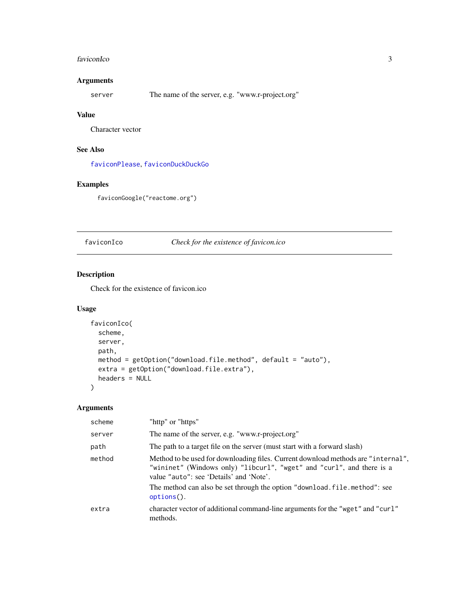#### <span id="page-2-0"></span>faviconIco 3

#### Arguments

server The name of the server, e.g. "www.r-project.org"

#### Value

Character vector

#### See Also

[faviconPlease](#page-4-1), [faviconDuckDuckGo](#page-1-2)

#### Examples

faviconGoogle("reactome.org")

<span id="page-2-1"></span>faviconIco *Check for the existence of favicon.ico*

#### Description

Check for the existence of favicon.ico

#### Usage

```
faviconIco(
 scheme,
 server,
 path,
 method = getOption("download.file.method", default = "auto"),
 extra = getOption("download.file.extra"),
 headers = NULL
\mathcal{L}
```
#### Arguments

| scheme | "http" or "https"                                                                                                                                                                                                                                                                                  |
|--------|----------------------------------------------------------------------------------------------------------------------------------------------------------------------------------------------------------------------------------------------------------------------------------------------------|
| server | The name of the server, e.g. "www.r-project.org"                                                                                                                                                                                                                                                   |
| path   | The path to a target file on the server (must start with a forward slash)                                                                                                                                                                                                                          |
| method | Method to be used for downloading files. Current download methods are "internal",<br>"wininet" (Windows only) "libcurl", "wget" and "curl", and there is a<br>value "auto": see 'Details' and 'Note'.<br>The method can also be set through the option "download. file. method": see<br>options(). |
| extra  | character vector of additional command-line arguments for the "wget" and "curl"<br>methods.                                                                                                                                                                                                        |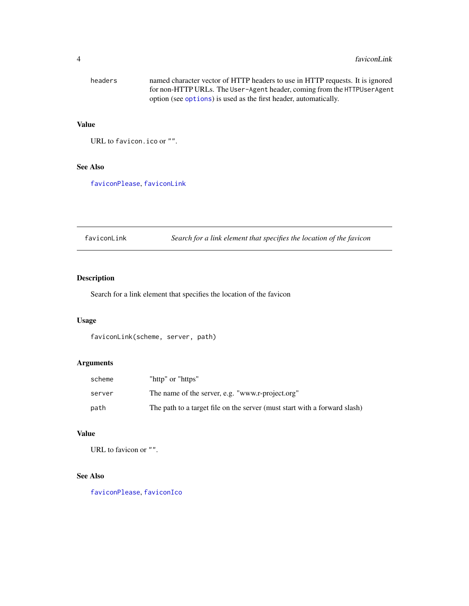<span id="page-3-0"></span>

| headers | named character vector of HTTP headers to use in HTTP requests. It is ignored |
|---------|-------------------------------------------------------------------------------|
|         | for non-HTTP URLs. The User-Agent header, coming from the HTTPUserAgent       |
|         | option (see options) is used as the first header, automatically.              |

#### Value

URL to favicon.ico or "".

#### See Also

[faviconPlease](#page-4-1), [faviconLink](#page-3-1)

<span id="page-3-1"></span>faviconLink *Search for a link element that specifies the location of the favicon*

#### Description

Search for a link element that specifies the location of the favicon

#### Usage

faviconLink(scheme, server, path)

#### Arguments

| scheme | "http" or "https"                                                         |
|--------|---------------------------------------------------------------------------|
| server | The name of the server, e.g. "www.r-project.org"                          |
| path   | The path to a target file on the server (must start with a forward slash) |

#### Value

URL to favicon or "".

#### See Also

[faviconPlease](#page-4-1), [faviconIco](#page-2-1)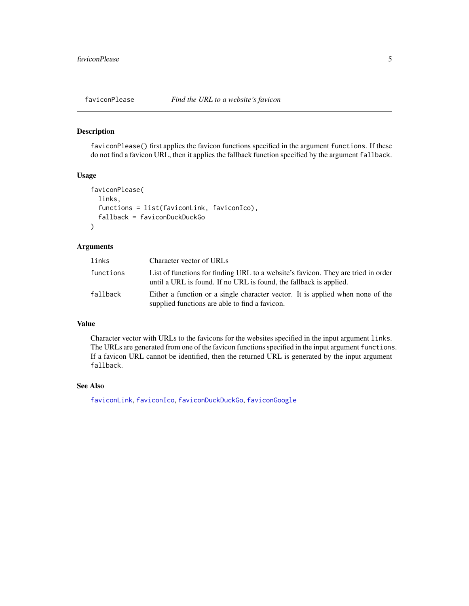#### <span id="page-4-1"></span><span id="page-4-0"></span>Description

faviconPlease() first applies the favicon functions specified in the argument functions. If these do not find a favicon URL, then it applies the fallback function specified by the argument fallback.

#### Usage

```
faviconPlease(
  links,
  functions = list(faviconLink, faviconIco),
  fallback = faviconDuckDuckGo
)
```
#### Arguments

| links     | Character vector of URLs                                                                                                                                |
|-----------|---------------------------------------------------------------------------------------------------------------------------------------------------------|
| functions | List of functions for finding URL to a website's favicon. They are tried in order<br>until a URL is found. If no URL is found, the fallback is applied. |
| fallback  | Either a function or a single character vector. It is applied when none of the<br>supplied functions are able to find a favicon.                        |

#### Value

Character vector with URLs to the favicons for the websites specified in the input argument links. The URLs are generated from one of the favicon functions specified in the input argument functions. If a favicon URL cannot be identified, then the returned URL is generated by the input argument fallback.

#### See Also

[faviconLink](#page-3-1), [faviconIco](#page-2-1), [faviconDuckDuckGo](#page-1-2), [faviconGoogle](#page-1-1)